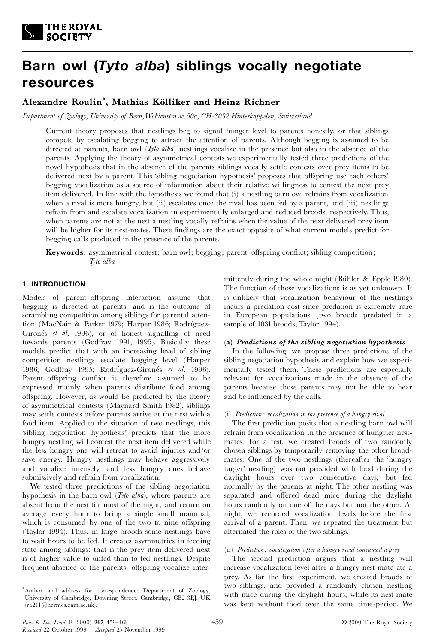

# **Barn owl (***Tyto alba***) siblings vocally negotiate resources**

# **Alexandre Roulin**\* **, Mathias KÎlliker and Heinz Richner**

*Department of Zoology, University of Bern,Wohlenstrasse 50a, CH-3032 Hinterkappelen, Switzerland*

Current theory proposes that nestlings beg to signal hunger level to parents honestly, or that siblings compete by escalating begging to attract the attention of parents. Although begging is assumed to be directed at parents, barn owl (*Tyto alba*) nestlings vocalize in the presence but also in the absence of the parents. Applying the theory of asymmetrical contests we experimentally tested three predictions of the novel hypothesis that in the absence of the parents siblings vocally settle contests over prey items to be delivered next by a parent. This 'sibling negotiation hypothesis' proposes that offspring use each others' begging vocalization as a source of information about their relative willingness to contest the next prey item delivered. In line with the hypothesis we found that (i) a nestling barn owl refrains from vocalization when a rival is more hungry, but  $(ii)$  escalates once the rival has been fed by a parent, and  $(iii)$  nestlings refrain from and escalate vocalization in experimentally enlarged and reduced broods, respectively. Thus, when parents are not at the nest a nestling vocally refrains when the value of the next delivered prey item will be higher for its nest-mates. These findings are the exact opposite of what current models predict for begging calls produced in the presence of the parents.

**Keywords:** asymmetrical contest; barn owl; begging; parent-offspring conflict; sibling competition; *Tyto alba*

# **1. INTRODUCTION**

Models of parent-offspring interaction assume that begging is directed at parents, and is the outcome of scrambling competition among siblings for parental attention (MacNair & Parker 1979; Harper 1986; Rodríguez-Gironés *et al.* 1996), or of honest signalling of need towards parents (Godfray 1991, 1995). Basically these models predict that with an increasing level of sibling competition nestlings escalate begging level (Harper 1986; Godfray 1995; Rodríguez-Gironés et al. 1996). Parent-offspring conflict is therefore assumed to be expressed mainly when parents distribute food among offspring. However, as would be predicted by the theory of asymmetrical contests (Maynard Smith 1982), siblings may settle contests before parents arrive at the nest with a food item. Applied to the situation of two nestlings, this `sibling negotiation hypothesis' predicts that the more hungry nestling will contest the next item delivered while the less hungry one will retreat to avoid injuries and/or save energy. Hungry nestlings may behave aggressively and vocalize intensely, and less hungry ones behave submissively and refrain from vocalization.

We tested three predictions of the sibling negotiation hypothesis in the barn owl (*Tyto alba*), where parents are absent from the nest for most of the night, and return on average every hour to bring a single small mammal, which is consumed by one of the two to nine offspring (Taylor 1994). Thus, in large broods some nestlings have to wait hours to be fed. It creates asymmetries in feeding state among siblings; that is the prey item delivered next is of higher value to unfed than to fed nestlings. Despite frequent absence of the parents, offspring vocalize intermittently during the whole night (Bühler & Epple 1980). The function of those vocalizations is as yet unknown. It is unlikely that vocalization behaviour of the nestlings incurs a predation cost since predation is extremely rare in European populations (two broods predated in a sample of 1031 broods; Taylor 1994).

# **(a)** *Predictions of the sibling negotiation hypothesis*

In the following, we propose three predictions of the sibling negotiation hypothesis and explain how we experimentally tested them. These predictions are especially relevant for vocalizations made in the absence of the parents because those parents may not be able to hear and be influenced by the calls.

#### (i) *Prediction: vocalization in the presence of a hungry rival*

The first prediction posits that a nestling barn owl will refrain from vocalization in the presence of hungrier nestmates. For a test, we created broods of two randomly chosen siblings by temporarily removing the other broodmates. One of the two nestlings (thereafter the `hungry target' nestling) was not provided with food during the daylight hours over two consecutive days, but fed normally by the parents at night. The other nestling was separated and offered dead mice during the daylight hours randomly on one of the days but not the other. At night, we recorded vocalization levels before the first arrival of a parent. Then, we repeated the treatment but alternated the roles of the two siblings.

#### (ii) *Prediction: vocalization after a hungry rival consumed a prey*

The second prediction argues that a nestling will increase vocalization level after a hungry nest-mate ate a prey. As for the first experiment, we created broods of two siblings, and provided a randomly chosen nestling with mice during the daylight hours, while its nest-mate was kept without food over the same time-period. We

<sup>\*</sup>Author and address for correspondence: Department of Zoology, University of Cambridge, Downing Street, Cambridge, CB2 3EJ, UK (ra241@hermes.cam.ac.uk).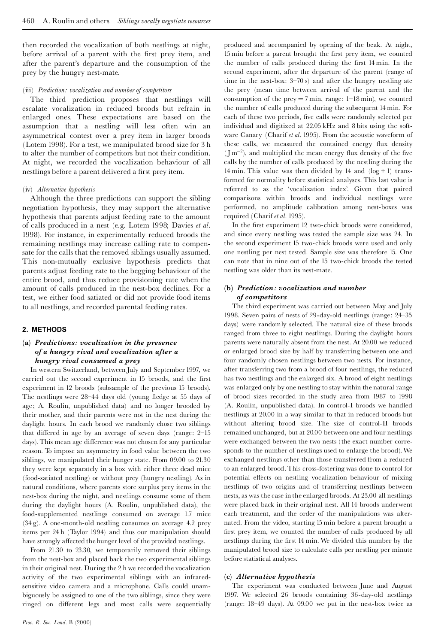then recorded the vocalization of both nestlings at night, before arrival of a parent with the first prey item, and after the parent's departure and the consumption of the prey by the hungry nest-mate.

#### (iii) *Prediction: vocalization and number of competitors*

The third prediction proposes that nestlings will escalate vocalization in reduced broods but refrain in enlarged ones. These expectations are based on the assumption that a nestling will less often win an asymmetrical contest over a prey item in larger broods (Lotem 1998). For a test, we manipulated brood size for 3 h to alter the number of competitors but not their condition. At night, we recorded the vocalization behaviour of all nestlings before a parent delivered a first prey item.

#### (iv) *Alternative hypothesis*

Although the three predictions can support the sibling negotiation hypothesis, they may support the alternative hypothesis that parents adjust feeding rate to the amount of calls produced in a nest (e.g. Lotem 1998; Davies *et al*. 1998). For instance, in experimentally reduced broods the remaining nestlings may increase calling rate to compensate for the calls that the removed siblings usually assumed. This non-mutually exclusive hypothesis predicts that parents adjust feeding rate to the begging behaviour of the entire brood, and thus reduce provisioning rate when the amount of calls produced in the nest-box declines. For a test, we either food satiated or did not provide food items to all nestlings, and recorded parental feeding rates.

#### **2. METHODS**

# **(a)** *Predictions: vocalization in the presence of a hungry rival and vocalization after a hungry rival consumed a prey*

In western Switzerland, between July and September 1997, we carried out the second experiment in 15 broods, and the first experiment in 12 broods (subsample of the previous 15 broods). The nestlings were 28-44 days old (young fledge at 55 days of age; A. Roulin, unpublished data) and no longer brooded by their mother, and their parents were not in the nest during the daylight hours. In each brood we randomly chose two siblings that differed in age by an average of seven days (range:  $2-15$ days). This mean age difference was not chosen for any particular reason. To impose an asymmetry in food value between the two siblings, we manipulated their hunger state. From 09.00 to 21.30 they were kept separately in a box with either three dead mice (food-satiated nestling) or without prey (hungry nestling). As in natural conditions, where parents store surplus prey items in the nest-box during the night, and nestlings consume some of them during the daylight hours (A. Roulin, unpublished data), the food-supplemented nestlings consumed on average 1.7 mice (34 g). A one-month-old nestling consumes on average 4.2 prey items per 24 h (Taylor 1994) and thus our manipulation should have strongly affected the hunger level of the provided nestlings.

From 21.30 to 23.30, we temporarily removed their siblings from the nest-box and placed back the two experimental siblings in their original nest. During the 2 h we recorded the vocalization activity of the two experimental siblings with an infraredsensitive video camera and a microphone. Calls could unam biguously be assigned to one of the two siblings, since they were ringed on different legs and most calls were sequentially

produced and accompanied by opening of the beak. At night, 15 min before a parent brought the first prey item, we counted the number of calls produced during the first 14 min. In the second experiment, after the departure of the parent (range of time in the nest-box:  $3-70$  s) and after the hungry nestling ate the prey (mean time between arrival of the parent and the consumption of the prey = 7 min, range:  $1-18$  min), we counted the number of calls produced during the subsequent 14 min. For each of these two periods, five calls were randomly selected per individual and digitized at 22.05 kHz and 8 bits using the soft ware Canary (Charif *et al*. 1995). From the acoustic waveform of these calls, we measured the contained energy flux density  $(\text{Im}^{-2})$ , and multiplied the mean energy flux density of the five calls by the number of calls produced by the nestling during the 14 min. This value was then divided by 14 and  $(log + 1)$  transformed for normality before statistical analyses. This last value is referred to as the `vocalization index'. Given that paired comparisons within broods and individual nestlings were performed, no amplitude calibration among nest-boxes was required (Charif *et al*. 1995).

In the first experiment 12 two-chick broods were considered, and since every nestling was tested the sample size was 24. In the second experiment 15 two-chick broods were used and only one nestling per nest tested. Sample size was therefore 15. One can note that in nine out of the 15 two-chick broods the tested nestling was older than its nest-mate.

## **(b)** *Prediction: vocalization and number of competitors*

The third experiment was carried out between May and July 1998. Seven pairs of nests of 29-day-old nestlings (range: 24^35 days) were randomly selected. The natural size of these broods ranged from three to eight nestlings. During the daylight hours parents were naturally absent from the nest. At 20.00 we reduced or enlarged brood size by half by transferring between one and four randomly chosen nestlings between two nests. For instance, after transferring two from a brood of four nestlings, the reduced has two nestlings and the enlarged six. A brood of eight nestlings was enlarged only by one nestling to stay within the natural range of brood sizes recorded in the study area from 1987 to 1998 (A. Roulin, unpublished data). In control-I broods we handled nestlings at 20.00 in a way similar to that in reduced broods but without altering brood size. The size of control-II broods remained unchanged, but at 20.00 between one and four nestlings were exchanged between the two nests (the exact number corresponds to the number of nestlings used to enlarge the brood).We exchanged nestlings other than those transferred from a reduced to an enlarged brood. This cross-fostering was done to control for potential effects on nestling vocalization behaviour of mixing nestlings of two origins and of transferring nestlings between nests, as was the case in the enlarged broods. At 23.00 all nestlings were placed back in their original nest. All 14 broods underwent each treatment, and the order of the manipulations was alternated. From the video, starting 15 min before a parent brought a first prey item, we counted the number of calls produced by all nestlings during the first 14 min. We divided this number by the manipulated brood size to calculate calls per nestling per minute before statistical analyses.

#### **(c)** *Alternative hypothesis*

The experiment was conducted between June and August 1997. We selected 26 broods containing 36-day-old nestlings (range:  $18-49$  days). At  $09.00$  we put in the nest-box twice as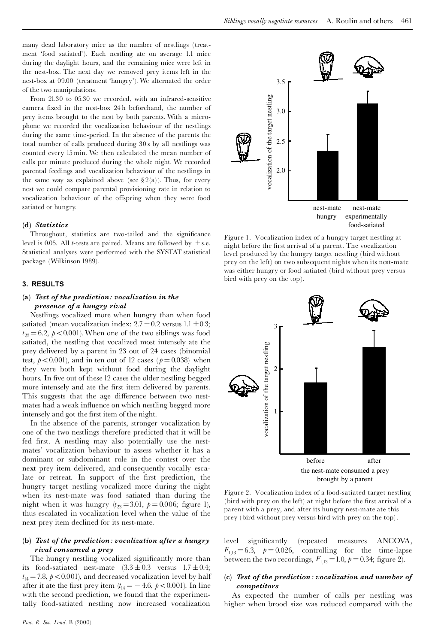many dead laboratory mice as the number of nestlings (treatment 'food satiated'). Each nestling ate on average 1.1 mice during the daylight hours, and the remaining mice were left in the nest-box. The next day we removed prey items left in the nest-box at 09.00 (treatment `hungry'). We alternated the order of the two manipulations.

From 21.30 to 05.30 we recorded, with an infrared-sensitive camera fixed in the nest-box 24 h beforehand, the number of prey items brought to the nest by both parents. With a microphone we recorded the vocalization behaviour of the nestlings during the same time-period. In the absence of the parents the total number of calls produced during 30s by all nestlings was counted every 15 min. We then calculated the mean number of calls per minute produced during the whole night. We recorded parental feedings and vocalization behaviour of the nestlings in the same way as explained above (see  $\S 2(a)$ ). Thus, for every nest we could compare parental provisioning rate in relation to vocalization behaviour of the offspring when they were food satiated or hungry.

#### **(d)** *Statistics*

Throughout, statistics are two-tailed and the significance level is 0.05. All *t*-tests are paired. Means are followed by  $\pm$  s.e. Statistical analyses were performed with the SYSTAT statistical package (Wilkinson 1989).

## **3. RESULTS**

#### **(a)** *Test of the prediction: vocalization in the presence of a hungry rival*

Nestlings vocalized more when hungry than when food satiated (mean vocalization index:  $2.7 \pm 0.2$  versus 1.1  $\pm 0.3$ ;  $t_{23} = 6.2$ ,  $p < 0.001$ ). When one of the two siblings was food satiated, the nestling that vocalized most intensely ate the prey delivered by a parent in 23 out of 24 cases (binomial test,  $p<0.001$ ), and in ten out of 12 cases ( $p=0.038$ ) when they were both kept without food during the daylight hours. In five out of these 12 cases the older nestling begged more intensely and ate the first item delivered by parents. This suggests that the age difference between two nestmates had a weak influence on which nestling begged more intensely and got the first item of the night.

In the absence of the parents, stronger vocalization by one of the two nestlings therefore predicted that it will be fed first. A nestling may also potentially use the nestmates' vocalization behaviour to assess whether it has a dominant or subdominant role in the contest over the next prey item delivered, and consequently vocally escalate or retreat. In support of the first prediction, the hungry target nestling vocalized more during the night when its nest-mate was food satiated than during the night when it was hungry  $(t_{23} = 3.01, p = 0.006;$  figure 1), thus escalated in vocalization level when the value of the next prey item declined for its nest-mate.

#### **(b)** *Test of the prediction: vocalization after a hungry rival consumed a prey*

The hungry nestling vocalized significantly more than its food-satiated nest-mate  $(3.3 \pm 0.3$  versus  $1.7 \pm 0.4$ ;  $t_{14} = 7.8$ ,  $p < 0.001$ ), and decreased vocalization level by half after it ate the first prey item  $(t_{14} = -4.6, p < 0.001)$ . In line with the second prediction, we found that the experimentally food-satiated nestling now increased vocalization



Figure 1. Vocalization index of a hungry target nestling at night before the ¢rst arrival of a parent. The vocalization level produced by the hungry target nestling (bird without prey on the left) on two subsequent nights when its nest-mate was either hungry or food satiated (bird without prey versus bird with prey on the top).



Figure 2. Vocalization index of a food-satiated target nestling (bird with prey on the left) at night before the first arrival of a parent with a prey, and after its hungry nest-mate ate this prey (bird without prey versus bird with prey on the top).

level significantly (repeated measures ANCOVA,  $F_{1,13} = 6.3$ ,  $p = 0.026$ , controlling for the time-lapse between the two recordings,  $F_{1,13} = 1.0$ ,  $p = 0.34$ ; figure 2).

#### **(c)** *Test of the prediction : vocalization and number of competitors*

As expected the number of calls per nestling was higher when brood size was reduced compared with the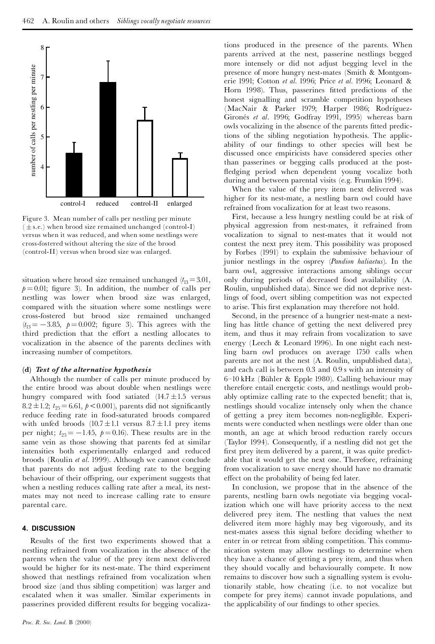

Figure 3. Mean number of calls per nestling per minute  $(± s.e.)$  when brood size remained unchanged (control-I) versus when it was reduced, and when some nestlings were cross-fostered without altering the size of the brood (control-II) versus when brood size was enlarged.

situation where brood size remained unchanged ( $t_{13} = 3.01$ ,  $p = 0.01$ ; figure 3). In addition, the number of calls per nestling was lower when brood size was enlarged, compared with the situation where some nestlings were cross-fostered but brood size remained unchanged  $(t_{13} = -3.85, p = 0.002;$  figure 3). This agrees with the third prediction that the effort a nestling allocates to vocalization in the absence of the parents declines with increasing number of competitors.

#### **(d)** *Test of the alternative hypothesis*

Although the number of calls per minute produced by the entire brood was about double when nestlings were hungry compared with food satiated (14.7 ± 1.5 versus 8.2 ± 1.2; *t*<sub>25</sub> = 6.61, *p* < 0.001), parents did not significantly reduce feeding rate in food-saturated broods compared with unfed broods  $(10.7 \pm 1.1 \text{ versus } 8.7 \pm 1.1 \text{ prey items})$ per night;  $t_{25} = -1.45$ ,  $p = 0.16$ ). These results are in the same vein as those showing that parents fed at similar intensities both experimentally enlarged and reduced broods (Roulin *et al*. 1999). Although we cannot conclude that parents do not adjust feeding rate to the begging behaviour of their offspring, our experiment suggests that when a nestling reduces calling rate after a meal, its nestmates may not need to increase calling rate to ensure parental care.

# **4. DISCUSSION**

Results of the first two experiments showed that a nestling refrained from vocalization in the absence of the parents when the value of the prey item next delivered would be higher for its nest-mate. The third experiment showed that nestlings refrained from vocalization when brood size (and thus sibling competition) was larger and escalated when it was smaller. Similar experiments in passerines provided different results for begging vocaliza-

tions produced in the presence of the parents. When parents arrived at the nest, passerine nestlings begged more intensely or did not adjust begging level in the presence of more hungry nest-mates (Smith & Montgomerie 1991; Cotton *et al.* 1996; Price *et al.* 1996; Leonard & Horn 1998). Thus, passerines fitted predictions of the honest signalling and scramble competition hypotheses (MacNair & Parker 1979; Harper 1986; Rodríguez-Gironés et al. 1996; Godfray 1991, 1995) whereas barn owls vocalizing in the absence of the parents fitted predictions of the sibling negotiation hypothesis. The applicability of our findings to other species will best be discussed once empiricists have considered species other than passerines or begging calls produced at the post fledging period when dependent young vocalize both during and between parental visits (e.g. Frumkin 1994).

When the value of the prey item next delivered was higher for its nest-mate, a nestling barn owl could have refrained from vocalization for at least two reasons.

First, because a less hungry nestling could be at risk of physical aggression from nest-mates, it refrained from vocalization to signal to nest-mates that it would not contest the next prey item. This possibility was proposed by Forbes (1991) to explain the submissive behaviour of junior nestlings in the osprey (*Pandion haliaetus*). In the barn owl, aggressive interactions among siblings occur only during periods of decreased food availability (A. Roulin, unpublished data). Since we did not deprive nestlings of food, overt sibling competition was not expected to arise. This first explanation may therefore not hold.

Second, in the presence of a hungrier nest-mate a nestling has little chance of getting the next delivered prey item, and thus it may refrain from vocalization to save energy (Leech & Leonard 1996). In one night each nestling barn owl produces on average 1750 calls when parents are not at the nest (A. Roulin, unpublished data), and each call is between 0.3 and 0.9 swith an intensity of 6^10 kHz (BÏhler & Epple 1980). Calling behaviour may therefore entail energetic costs, and nestlings would probably optimize calling rate to the expected benefit; that is, nestlings should vocalize intensely only when the chance of getting a prey item becomes non-negligible. Experiments were conducted when nestlings were older than one month, an age at which brood reduction rarely occurs (Taylor 1994). Consequently, if a nestling did not get the first prey item delivered by a parent, it was quite predictable that it would get the next one. Therefore, refraining from vocalization to save energy should have no dramatic effect on the probability of being fed later.

In conclusion, we propose that in the absence of the parents, nestling barn owls negotiate via begging vocalization which one will have priority access to the next delivered prey item. The nestling that values the next delivered item more highly may beg vigorously, and its nest-mates assess this signal before deciding whether to enter in or retreat from sibling competition. This commu nication system may allow nestlings to determine when they have a chance of getting a prey item, and thus when they should vocally and behaviourally compete. It now remains to discover how such a signalling system is evolutionarily stable, how cheating (i.e. to not vocalize but compete for prey items) cannot invade populations, and the applicability of our findings to other species.